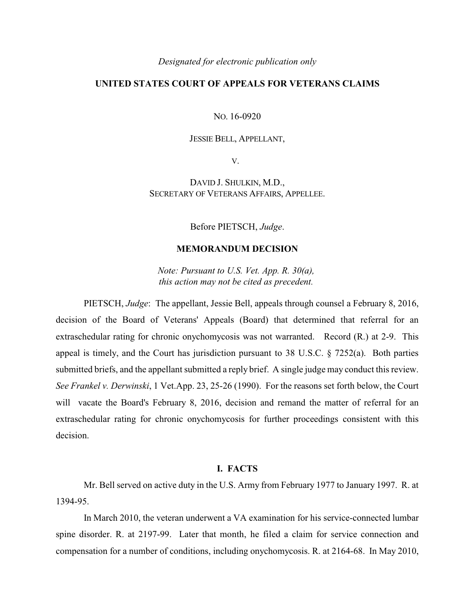#### *Designated for electronic publication only*

# **UNITED STATES COURT OF APPEALS FOR VETERANS CLAIMS**

NO. 16-0920

## JESSIE BELL, APPELLANT,

V.

DAVID J. SHULKIN, M.D., SECRETARY OF VETERANS AFFAIRS, APPELLEE.

Before PIETSCH, *Judge*.

## **MEMORANDUM DECISION**

*Note: Pursuant to U.S. Vet. App. R. 30(a), this action may not be cited as precedent.* 

PIETSCH, *Judge*: The appellant, Jessie Bell, appeals through counsel a February 8, 2016, decision of the Board of Veterans' Appeals (Board) that determined that referral for an extraschedular rating for chronic onychomycosis was not warranted. Record (R.) at 2-9. This appeal is timely, and the Court has jurisdiction pursuant to 38 U.S.C. § 7252(a). Both parties submitted briefs, and the appellant submitted a reply brief. A single judge may conduct this review. *See Frankel v. Derwinski*, 1 Vet.App. 23, 25-26 (1990). For the reasons set forth below, the Court will vacate the Board's February 8, 2016, decision and remand the matter of referral for an extraschedular rating for chronic onychomycosis for further proceedings consistent with this decision.

## **I. FACTS**

Mr. Bell served on active duty in the U.S. Army from February 1977 to January 1997. R. at 1394-95.

In March 2010, the veteran underwent a VA examination for his service-connected lumbar spine disorder. R. at 2197-99. Later that month, he filed a claim for service connection and compensation for a number of conditions, including onychomycosis. R. at 2164-68. In May 2010,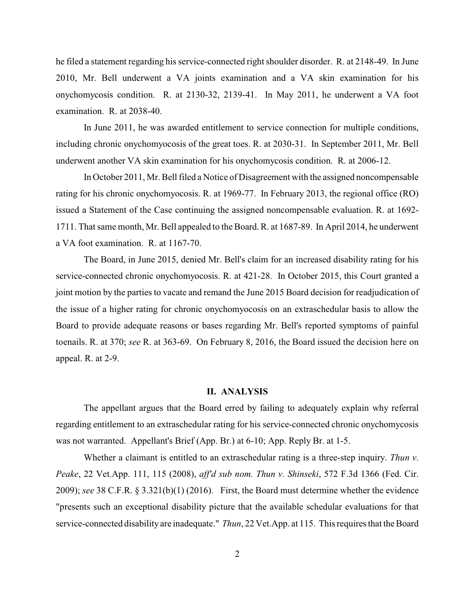he filed a statement regarding his service-connected right shoulder disorder. R. at 2148-49. In June 2010, Mr. Bell underwent a VA joints examination and a VA skin examination for his onychomycosis condition. R. at 2130-32, 2139-41. In May 2011, he underwent a VA foot examination. R. at 2038-40.

In June 2011, he was awarded entitlement to service connection for multiple conditions, including chronic onychomyocosis of the great toes. R. at 2030-31. In September 2011, Mr. Bell underwent another VA skin examination for his onychomycosis condition. R. at 2006-12.

In October 2011, Mr. Bell filed a Notice of Disagreement with the assigned noncompensable rating for his chronic onychomyocosis. R. at 1969-77. In February 2013, the regional office (RO) issued a Statement of the Case continuing the assigned noncompensable evaluation. R. at 1692- 1711. That same month, Mr. Bell appealed to the Board. R. at 1687-89. In April 2014, he underwent a VA foot examination. R. at 1167-70.

The Board, in June 2015, denied Mr. Bell's claim for an increased disability rating for his service-connected chronic onychomyocosis. R. at 421-28. In October 2015, this Court granted a joint motion by the parties to vacate and remand the June 2015 Board decision for readjudication of the issue of a higher rating for chronic onychomyocosis on an extraschedular basis to allow the Board to provide adequate reasons or bases regarding Mr. Bell's reported symptoms of painful toenails. R. at 370; *see* R. at 363-69. On February 8, 2016, the Board issued the decision here on appeal. R. at 2-9.

#### **II. ANALYSIS**

The appellant argues that the Board erred by failing to adequately explain why referral regarding entitlement to an extraschedular rating for his service-connected chronic onychomycosis was not warranted. Appellant's Brief (App. Br.) at 6-10; App. Reply Br. at 1-5.

Whether a claimant is entitled to an extraschedular rating is a three-step inquiry. *Thun v. Peake*, 22 Vet.App. 111, 115 (2008), *aff'd sub nom. Thun v. Shinseki*, 572 F.3d 1366 (Fed. Cir. 2009); *see* 38 C.F.R. § 3.321(b)(1) (2016). First, the Board must determine whether the evidence "presents such an exceptional disability picture that the available schedular evaluations for that service-connected disability are inadequate." *Thun*, 22 Vet.App. at 115. This requires that the Board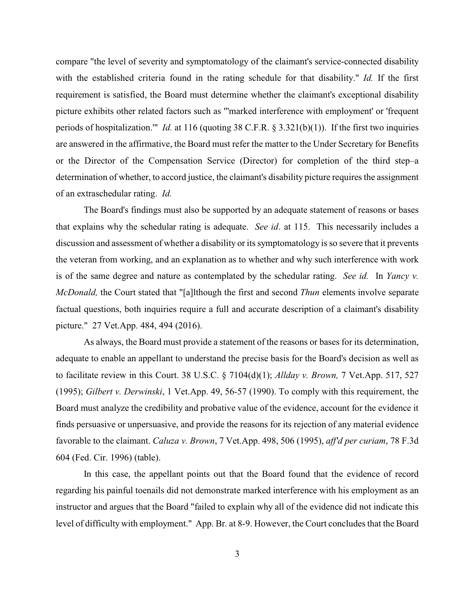compare "the level of severity and symptomatology of the claimant's service-connected disability with the established criteria found in the rating schedule for that disability." *Id.* If the first requirement is satisfied, the Board must determine whether the claimant's exceptional disability picture exhibits other related factors such as "'marked interference with employment' or 'frequent periods of hospitalization.'" *Id.* at 116 (quoting 38 C.F.R. § 3.321(b)(1)). If the first two inquiries are answered in the affirmative, the Board must refer the matter to the Under Secretary for Benefits or the Director of the Compensation Service (Director) for completion of the third step–a determination of whether, to accord justice, the claimant's disability picture requires the assignment of an extraschedular rating. *Id.*

The Board's findings must also be supported by an adequate statement of reasons or bases that explains why the schedular rating is adequate. *See id*. at 115. This necessarily includes a discussion and assessment of whether a disability or its symptomatology is so severe that it prevents the veteran from working, and an explanation as to whether and why such interference with work is of the same degree and nature as contemplated by the schedular rating. *See id.* In *Yancy v. McDonald,* the Court stated that "[a]lthough the first and second *Thun* elements involve separate factual questions, both inquiries require a full and accurate description of a claimant's disability picture." 27 Vet.App. 484, 494 (2016).

As always, the Board must provide a statement of the reasons or bases for its determination, adequate to enable an appellant to understand the precise basis for the Board's decision as well as to facilitate review in this Court. 38 U.S.C. § 7104(d)(1); *Allday v. Brown,* 7 Vet.App. 517, 527 (1995); *Gilbert v. Derwinski*, 1 Vet.App. 49, 56-57 (1990). To comply with this requirement, the Board must analyze the credibility and probative value of the evidence, account for the evidence it finds persuasive or unpersuasive, and provide the reasons for its rejection of any material evidence favorable to the claimant. *Caluza v. Brown*, 7 Vet.App. 498, 506 (1995), *aff'd per curiam*, 78 F.3d 604 (Fed. Cir. 1996) (table).

In this case, the appellant points out that the Board found that the evidence of record regarding his painful toenails did not demonstrate marked interference with his employment as an instructor and argues that the Board "failed to explain why all of the evidence did not indicate this level of difficulty with employment." App. Br. at 8-9. However, the Court concludes that the Board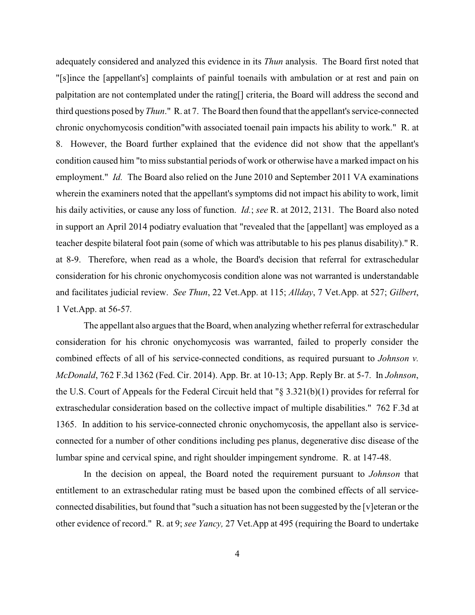adequately considered and analyzed this evidence in its *Thun* analysis. The Board first noted that "[s]ince the [appellant's] complaints of painful toenails with ambulation or at rest and pain on palpitation are not contemplated under the rating[] criteria, the Board will address the second and third questions posed by *Thun*." R. at 7. The Board then found that the appellant's service-connected chronic onychomycosis condition"with associated toenail pain impacts his ability to work." R. at 8. However, the Board further explained that the evidence did not show that the appellant's condition caused him "to miss substantial periods of work or otherwise have a marked impact on his employment." *Id.* The Board also relied on the June 2010 and September 2011 VA examinations wherein the examiners noted that the appellant's symptoms did not impact his ability to work, limit his daily activities, or cause any loss of function. *Id.*; *see* R. at 2012, 2131. The Board also noted in support an April 2014 podiatry evaluation that "revealed that the [appellant] was employed as a teacher despite bilateral foot pain (some of which was attributable to his pes planus disability)." R. at 8-9. Therefore, when read as a whole, the Board's decision that referral for extraschedular consideration for his chronic onychomycosis condition alone was not warranted is understandable and facilitates judicial review. *See Thun*, 22 Vet.App. at 115; *Allday*, 7 Vet.App. at 527; *Gilbert*, 1 Vet.App. at 56-57*.* 

The appellant also argues that the Board, when analyzing whether referral for extraschedular consideration for his chronic onychomycosis was warranted, failed to properly consider the combined effects of all of his service-connected conditions, as required pursuant to *Johnson v. McDonald*, 762 F.3d 1362 (Fed. Cir. 2014). App. Br. at 10-13; App. Reply Br. at 5-7. In *Johnson*, the U.S. Court of Appeals for the Federal Circuit held that "§ 3.321(b)(1) provides for referral for extraschedular consideration based on the collective impact of multiple disabilities." 762 F.3d at 1365. In addition to his service-connected chronic onychomycosis, the appellant also is serviceconnected for a number of other conditions including pes planus, degenerative disc disease of the lumbar spine and cervical spine, and right shoulder impingement syndrome. R. at 147-48.

In the decision on appeal, the Board noted the requirement pursuant to *Johnson* that entitlement to an extraschedular rating must be based upon the combined effects of all serviceconnected disabilities, but found that "such a situation has not been suggested by the [v]eteran or the other evidence of record." R. at 9; *see Yancy,* 27 Vet.App at 495 (requiring the Board to undertake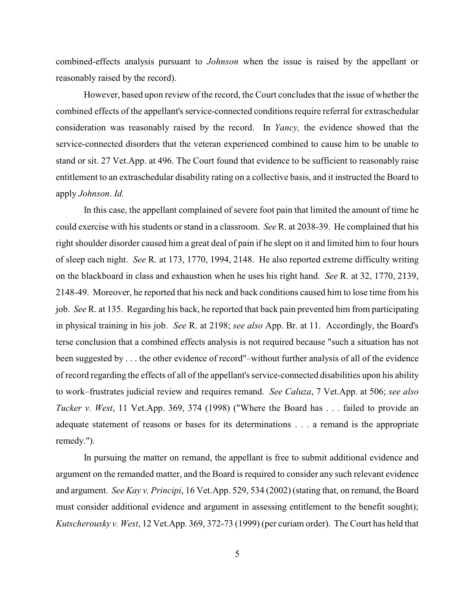combined-effects analysis pursuant to *Johnson* when the issue is raised by the appellant or reasonably raised by the record).

However, based upon review of the record, the Court concludes that the issue of whether the combined effects of the appellant's service-connected conditions require referral for extraschedular consideration was reasonably raised by the record. In *Yancy,* the evidence showed that the service-connected disorders that the veteran experienced combined to cause him to be unable to stand or sit. 27 Vet.App. at 496. The Court found that evidence to be sufficient to reasonably raise entitlement to an extraschedular disability rating on a collective basis, and it instructed the Board to apply *Johnson*. *Id.*

In this case, the appellant complained of severe foot pain that limited the amount of time he could exercise with his students or stand in a classroom. *See* R. at 2038-39. He complained that his right shoulder disorder caused him a great deal of pain if he slept on it and limited him to four hours of sleep each night. *See* R. at 173, 1770, 1994, 2148. He also reported extreme difficulty writing on the blackboard in class and exhaustion when he uses his right hand. *See* R. at 32, 1770, 2139, 2148-49. Moreover, he reported that his neck and back conditions caused him to lose time from his job. *See* R. at 135. Regarding his back, he reported that back pain prevented him from participating in physical training in his job. *See* R. at 2198; *see also* App. Br. at 11. Accordingly, the Board's terse conclusion that a combined effects analysis is not required because "such a situation has not been suggested by . . . the other evidence of record"–without further analysis of all of the evidence of record regarding the effects of all of the appellant's service-connected disabilities upon his ability to work–frustrates judicial review and requires remand. *See Caluza*, 7 Vet.App. at 506; *see also Tucker v. West*, 11 Vet.App. 369, 374 (1998) ("Where the Board has . . . failed to provide an adequate statement of reasons or bases for its determinations . . . a remand is the appropriate remedy.").

In pursuing the matter on remand, the appellant is free to submit additional evidence and argument on the remanded matter, and the Board is required to consider any such relevant evidence and argument. *See Kay v. Principi*, 16 Vet.App. 529, 534 (2002) (stating that, on remand, the Board must consider additional evidence and argument in assessing entitlement to the benefit sought); *Kutscherousky v. West*, 12 Vet.App. 369, 372-73 (1999) (per curiam order). The Court has held that